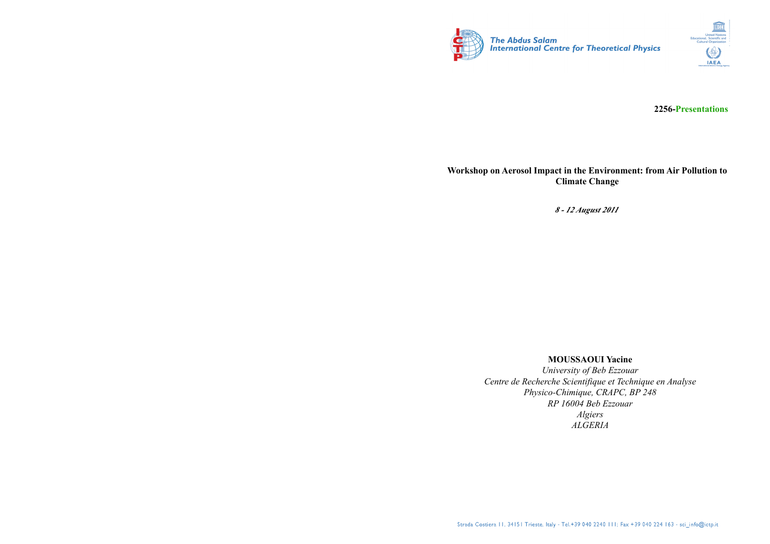



**2256-Presentations**

## **Workshop on Aerosol Impact in the Environment: from Air Pollution to Climate Change**

*8 - 12 August 2011*

## **MOUSSAOUI Yacine**

*University of Beb Ezzouar Centre de Recherche Scientifique et Technique en Analyse Physico-Chimique, CRAPC, BP 248 RP 16004 Beb Ezzouar Algiers ALGERIA*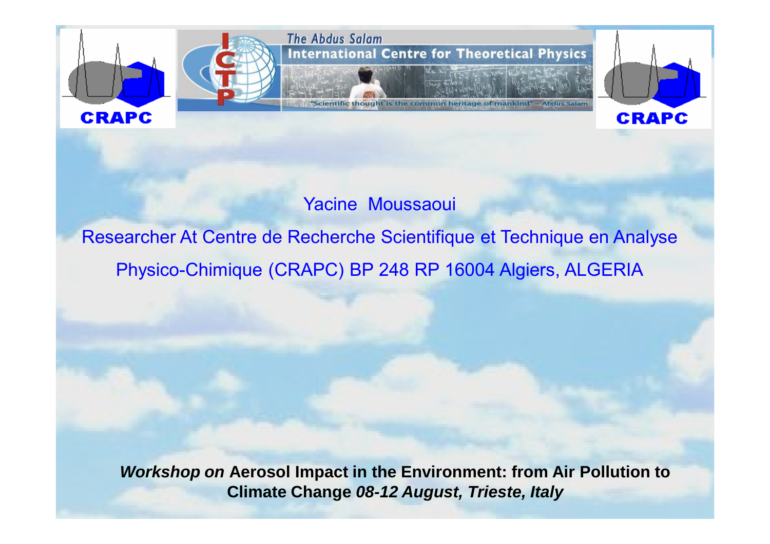

Yacine Moussaoui

## Researcher At Centre de Recherche Scientifique et Technique en Analyse Physico-Chimique (CRAPC) BP 248 RP 16004 Algiers, ALGERIA

*Workshop on* **Aerosol Impact in the Environment: from Air Pollution to Climate Change** *08-12 August, Trieste, Italy*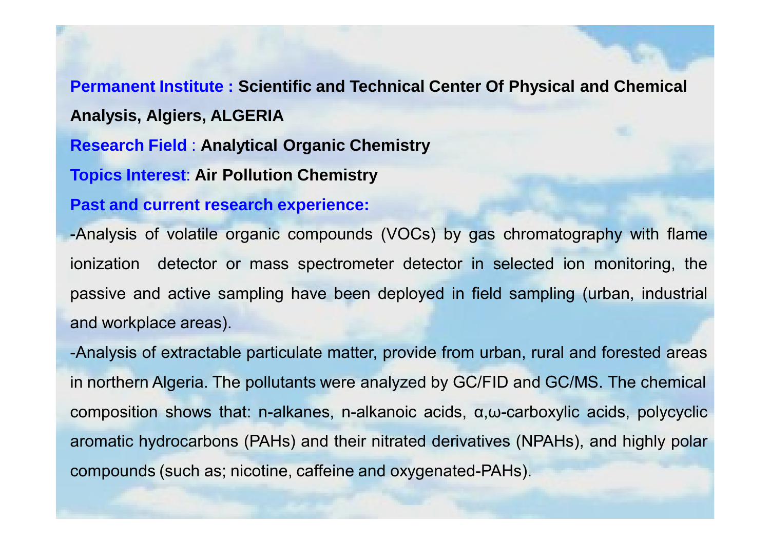**Permanent Institute : Scientific and Technical Center Of Physical and Chemical Analysis, Algiers, ALGERIA Research Field** : **Analytical Organic Chemistry Topics Interest**: **Air Pollution Chemistry**

**Past and current research experience:**

-Analysis of volatile organic compounds (VOCs) by gas chromatography with flame ionization detector or mass spectrometer detector in selected ion monitoring, the passive and active sampling have been deployed in field sampling (urban, industrial and workplace areas).

-Analysis of extractable particulate matter, provide from urban, rural and forested areas in northern Algeria. The pollutants were analyzed by GC/FID and GC/MS. The chemical composition shows that: n-alkanes, n-alkanoic acids, <sup>α</sup>,<sup>ω</sup>-carboxylic acids, polycyclic aromatic hydrocarbons (PAHs) and their nitrated derivatives (NPAHs), and highly polar compounds (such as; nicotine, caffeine and oxygenated-PAHs).